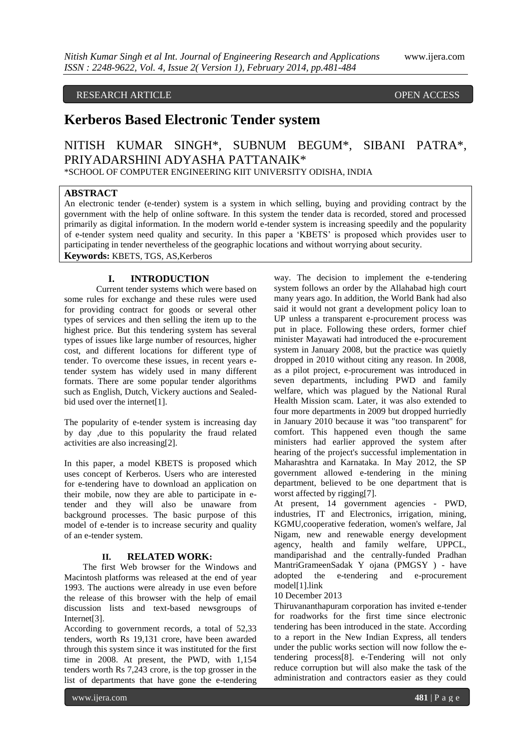# RESEARCH ARTICLE **CONSERVERS** OPEN ACCESS

# **Kerberos Based Electronic Tender system**

# NITISH KUMAR SINGH\*, SUBNUM BEGUM\*, SIBANI PATRA\*, PRIYADARSHINI ADYASHA PATTANAIK\*

\*SCHOOL OF COMPUTER ENGINEERING KIIT UNIVERSITY ODISHA, INDIA

# **ABSTRACT**

An electronic tender (e-tender) system is a system in which selling, buying and providing contract by the government with the help of online software. In this system the tender data is recorded, stored and processed primarily as digital information. In the modern world e-tender system is increasing speedily and the popularity of e-tender system need quality and security. In this paper a 'KBETS' is proposed which provides user to participating in tender nevertheless of the geographic locations and without worrying about security. **Keywords:** KBETS, TGS, AS,Kerberos

# **I. INTRODUCTION**

Current tender systems which were based on some rules for exchange and these rules were used for providing contract for goods or several other types of services and then selling the item up to the highest price. But this tendering system has several types of issues like large number of resources, higher cost, and different locations for different type of tender. To overcome these issues, in recent years etender system has widely used in many different formats. There are some popular tender algorithms such as English, Dutch, Vickery auctions and Sealedbid used over the internet[1].

The popularity of e-tender system is increasing day by day ,due to this popularity the fraud related activities are also increasing[2].

In this paper, a model KBETS is proposed which uses concept of Kerberos. Users who are interested for e-tendering have to download an application on their mobile, now they are able to participate in etender and they will also be unaware from background processes. The basic purpose of this model of e-tender is to increase security and quality of an e-tender system.

# **II. RELATED WORK:**

The first Web browser for the Windows and Macintosh platforms was released at the end of year 1993. The auctions were already in use even before the release of this browser with the help of email discussion lists and text-based newsgroups of Internet[3].

According to government records, a total of 52,33 tenders, worth Rs 19,131 crore, have been awarded through this system since it was instituted for the first time in 2008. At present, the PWD, with 1,154 tenders worth Rs 7,243 crore, is the top grosser in the list of departments that have gone the e-tendering

way. The decision to implement the e-tendering system follows an order by the Allahabad high court many years ago. In addition, the World Bank had also said it would not grant a development policy loan to UP unless a transparent e-procurement process was put in place. Following these orders, former chief minister Mayawati had introduced the e-procurement system in January 2008, but the practice was quietly dropped in 2010 without citing any reason. In 2008, as a pilot project, e-procurement was introduced in seven departments, including PWD and family welfare, which was plagued by the National Rural Health Mission scam. Later, it was also extended to four more departments in 2009 but dropped hurriedly in January 2010 because it was "too transparent" for comfort. This happened even though the same ministers had earlier approved the system after hearing of the project's successful implementation in Maharashtra and Karnataka. In May 2012, the SP government allowed e-tendering in the mining department, believed to be one department that is worst affected by rigging[7].

At present, 14 government agencies - PWD, industries, IT and Electronics, irrigation, mining, KGMU,cooperative federation, women's welfare, Jal Nigam, new and renewable energy development agency, health and family welfare, UPPCL, mandiparishad and the centrally-funded Pradhan MantriGrameenSadak Y ojana (PMGSY ) - have adopted the e-tendering and e-procurement model[1].link

#### 10 December 2013

Thiruvananthapuram corporation has invited e-tender for roadworks for the first time since electronic tendering has been introduced in the state. According to a report in the New Indian Express, all tenders under the public works section will now follow the etendering process[8]. e-Tendering will not only reduce corruption but will also make the task of the administration and contractors easier as they could

www.ijera.com **481** | P a g e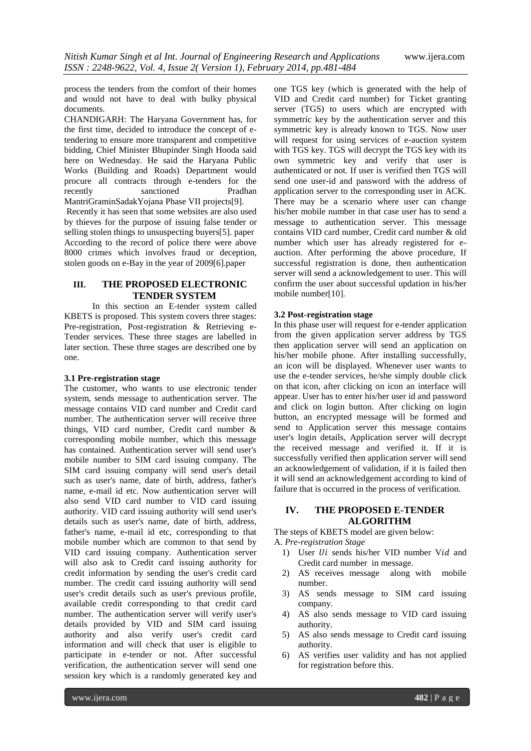process the tenders from the comfort of their homes and would not have to deal with bulky physical documents.

CHANDIGARH: The Haryana Government has, for the first time, decided to introduce the concept of etendering to ensure more transparent and competitive bidding, Chief Minister Bhupinder Singh Hooda said here on Wednesday. He said the Haryana Public Works (Building and Roads) Department would procure all contracts through e-tenders for the recently sanctioned Pradhan MantriGraminSadakYojana Phase VII projects[9].

Recently it has seen that some websites are also used by thieves for the purpose of issuing false tender or selling stolen things to unsuspecting buyers[5]. paper According to the record of police there were above 8000 crimes which involves fraud or deception, stolen goods on e-Bay in the year of 2009[6].paper

# **III. THE PROPOSED ELECTRONIC TENDER SYSTEM**

In this section an E-tender system called KBETS is proposed. This system covers three stages: Pre-registration, Post-registration & Retrieving e-Tender services. These three stages are labelled in later section. These three stages are described one by one.

# **3.1 Pre-registration stage**

The customer, who wants to use electronic tender system, sends message to authentication server. The message contains VID card number and Credit card number. The authentication server will receive three things, VID card number, Credit card number & corresponding mobile number, which this message has contained. Authentication server will send user's mobile number to SIM card issuing company. The SIM card issuing company will send user's detail such as user's name, date of birth, address, father's name, e-mail id etc. Now authentication server will also send VID card number to VID card issuing authority. VID card issuing authority will send user's details such as user's name, date of birth, address, father's name, e-mail id etc, corresponding to that mobile number which are common to that send by VID card issuing company. Authentication server will also ask to Credit card issuing authority for credit information by sending the user's credit card number. The credit card issuing authority will send user's credit details such as user's previous profile, available credit corresponding to that credit card number. The authentication server will verify user's details provided by VID and SIM card issuing authority and also verify user's credit card information and will check that user is eligible to participate in e-tender or not. After successful verification, the authentication server will send one session key which is a randomly generated key and

one TGS key (which is generated with the help of VID and Credit card number) for Ticket granting server (TGS) to users which are encrypted with symmetric key by the authentication server and this symmetric key is already known to TGS. Now user will request for using services of e-auction system with TGS key. TGS will decrypt the TGS key with its own symmetric key and verify that user is authenticated or not. If user is verified then TGS will send one user-id and password with the address of application server to the corresponding user in ACK. There may be a scenario where user can change his/her mobile number in that case user has to send a message to authentication server. This message contains VID card number, Credit card number & old number which user has already registered for eauction. After performing the above procedure, If successful registration is done, then authentication server will send a acknowledgement to user. This will confirm the user about successful updation in his/her mobile number[10].

#### **3.2 Post-registration stage**

In this phase user will request for e-tender application from the given application server address by TGS then application server will send an application on his/her mobile phone. After installing successfully, an icon will be displayed. Whenever user wants to use the e-tender services, he/she simply double click on that icon, after clicking on icon an interface will appear. User has to enter his/her user id and password and click on login button. After clicking on login button, an encrypted message will be formed and send to Application server this message contains user's login details, Application server will decrypt the received message and verified it. If it is successfully verified then application server will send an acknowledgement of validation, if it is failed then it will send an acknowledgement according to kind of failure that is occurred in the process of verification.

#### **IV. THE PROPOSED E-TENDER ALGORITHM**

The steps of KBETS model are given below:

A. *Pre-registration Stage*

- 1) User *Ui* sends his/her VID number Vid and Credit card number in message.
- 2) AS receives message along with mobile number.
- 3) AS sends message to SIM card issuing company.
- 4) AS also sends message to VID card issuing authority.
- 5) AS also sends message to Credit card issuing authority.
- 6) AS verifies user validity and has not applied for registration before this.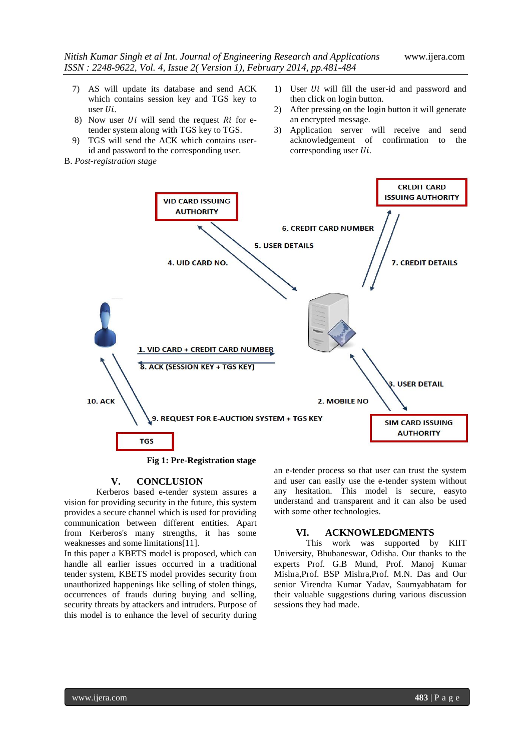- 7) AS will update its database and send ACK which contains session key and TGS key to user  $Ui$ .
- 8) Now user  $Ui$  will send the request  $Ri$  for etender system along with TGS key to TGS.
- 9) TGS will send the ACK which contains userid and password to the corresponding user.
- B. *Post-registration stage*
- 1) User  $Ui$  will fill the user-id and password and then click on login button.
- 2) After pressing on the login button it will generate an encrypted message.
- 3) Application server will receive and send acknowledgement of confirmation to the corresponding user  $Ui$ .



 **Fig 1: Pre-Registration stage**

#### **V. CONCLUSION**

Kerberos based e-tender system assures a vision for providing security in the future, this system provides a secure channel which is used for providing communication between different entities. Apart from Kerberos's many strengths, it has some weaknesses and some limitations[11].

In this paper a KBETS model is proposed, which can handle all earlier issues occurred in a traditional tender system, KBETS model provides security from unauthorized happenings like selling of stolen things, occurrences of frauds during buying and selling, security threats by attackers and intruders. Purpose of this model is to enhance the level of security during

an e-tender process so that user can trust the system and user can easily use the e-tender system without any hesitation. This model is secure, easyto understand and transparent and it can also be used with some other technologies.

#### **VI. ACKNOWLEDGMENTS**

This work was supported by KIIT University, Bhubaneswar, Odisha. Our thanks to the experts Prof. G.B Mund, Prof. Manoj Kumar Mishra,Prof. BSP Mishra,Prof. M.N. Das and Our senior Virendra Kumar Yadav, Saumyabhatam for their valuable suggestions during various discussion sessions they had made.